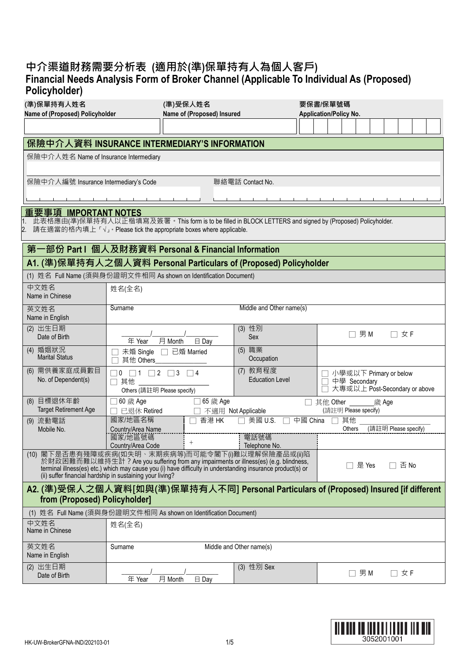## **中介渠道財務需要分析表 (適用於(準)保單持有人為個人客戶) Financial Needs Analysis Form of Broker Channel (Applicable To Individual As (Proposed) Policyholder)**

| (準)保單持有人姓名                                                                                                              |                                              | (準)受保人姓名                                                                                                                                                                                            |                                    |          | 要保書/保單號碼                      |  |                                               |  |       |                      |  |  |  |
|-------------------------------------------------------------------------------------------------------------------------|----------------------------------------------|-----------------------------------------------------------------------------------------------------------------------------------------------------------------------------------------------------|------------------------------------|----------|-------------------------------|--|-----------------------------------------------|--|-------|----------------------|--|--|--|
| Name of (Proposed) Policyholder                                                                                         |                                              | Name of (Proposed) Insured                                                                                                                                                                          |                                    |          | <b>Application/Policy No.</b> |  |                                               |  |       |                      |  |  |  |
|                                                                                                                         |                                              |                                                                                                                                                                                                     |                                    |          |                               |  |                                               |  |       |                      |  |  |  |
| 保險中介人資料 INSURANCE INTERMEDIARY'S INFORMATION                                                                            |                                              |                                                                                                                                                                                                     |                                    |          |                               |  |                                               |  |       |                      |  |  |  |
| 保險中介人姓名 Name of Insurance Intermediary                                                                                  |                                              |                                                                                                                                                                                                     |                                    |          |                               |  |                                               |  |       |                      |  |  |  |
|                                                                                                                         |                                              |                                                                                                                                                                                                     |                                    |          |                               |  |                                               |  |       |                      |  |  |  |
| 保險中介人編號 Insurance Intermediary's Code                                                                                   |                                              |                                                                                                                                                                                                     | 聯絡電話 Contact No.                   |          |                               |  |                                               |  |       |                      |  |  |  |
|                                                                                                                         |                                              |                                                                                                                                                                                                     |                                    |          |                               |  |                                               |  |       |                      |  |  |  |
| 重要事項 IMPORTANT NOTES                                                                                                    |                                              |                                                                                                                                                                                                     |                                    |          |                               |  |                                               |  |       |                      |  |  |  |
| 此表格應由(準)保單持有人以正楷填寫及簽署。This form is to be filled in BLOCK LETTERS and signed by (Proposed) Policyholder.                 |                                              |                                                                                                                                                                                                     |                                    |          |                               |  |                                               |  |       |                      |  |  |  |
| 請在適當的格內填上「√」。Please tick the appropriate boxes where applicable.                                                        |                                              |                                                                                                                                                                                                     |                                    |          |                               |  |                                               |  |       |                      |  |  |  |
| 第一部份 Part I 個人及財務資料 Personal & Financial Information                                                                    |                                              |                                                                                                                                                                                                     |                                    |          |                               |  |                                               |  |       |                      |  |  |  |
| A1. (準)保單持有人之個人資料 Personal Particulars of (Proposed) Policyholder                                                       |                                              |                                                                                                                                                                                                     |                                    |          |                               |  |                                               |  |       |                      |  |  |  |
| (1) 姓名 Full Name (須與身份證明文件相同 As shown on Identification Document)                                                       |                                              |                                                                                                                                                                                                     |                                    |          |                               |  |                                               |  |       |                      |  |  |  |
| 中文姓名                                                                                                                    | 姓名(全名)                                       |                                                                                                                                                                                                     |                                    |          |                               |  |                                               |  |       |                      |  |  |  |
| Name in Chinese<br>英文姓名                                                                                                 | Surname                                      |                                                                                                                                                                                                     | Middle and Other name(s)           |          |                               |  |                                               |  |       |                      |  |  |  |
| Name in English                                                                                                         |                                              |                                                                                                                                                                                                     |                                    |          |                               |  |                                               |  |       |                      |  |  |  |
| (2) 出生日期                                                                                                                |                                              |                                                                                                                                                                                                     | (3) 性別                             |          |                               |  | 男M                                            |  |       | 女 F                  |  |  |  |
| Date of Birth                                                                                                           | 年 Year                                       | 月 Month<br>$\boxminus$ Day                                                                                                                                                                          | Sex                                |          |                               |  |                                               |  |       |                      |  |  |  |
| (4) 婚姻狀況<br><b>Marital Status</b>                                                                                       | 未婚 Single<br>其他 Others                       | 已婚 Married<br>$\Box$                                                                                                                                                                                | (5) 職業<br>Occupation               |          |                               |  |                                               |  |       |                      |  |  |  |
| (6) 需供養家庭成員數目<br>No. of Dependent(s)                                                                                    | $\Box$ 0 $\Box$ 1 $\Box$ 2 $\Box$ 3 $\Box$ 4 |                                                                                                                                                                                                     | (7) 教育程度<br><b>Education Level</b> |          |                               |  | 小學或以下 Primary or below                        |  |       |                      |  |  |  |
|                                                                                                                         | □ 其他<br>Others (請註明 Please specify)          |                                                                                                                                                                                                     |                                    |          |                               |  | 中學 Secondary<br>大專或以上 Post-Secondary or above |  |       |                      |  |  |  |
| (8) 目標退休年齡                                                                                                              | 60 歲 Age                                     | 65 歲 Age                                                                                                                                                                                            |                                    |          | 其他 Other                      |  |                                               |  | 歲 Age |                      |  |  |  |
| <b>Target Retirement Age</b>                                                                                            | 已退休 Retired<br>國家/地區名稱                       | 香港 HK                                                                                                                                                                                               | 不適用 Not Applicable<br>美國 U.S.      | 中國 China |                               |  | (請註明 Please specify)<br>其他                    |  |       |                      |  |  |  |
| (9) 流動電話<br>Mobile No.                                                                                                  | Country/Area Name                            |                                                                                                                                                                                                     |                                    |          |                               |  | Others                                        |  |       | (請註明 Please specify) |  |  |  |
|                                                                                                                         | 國家/地區號碼<br>Country/Area Code                 | $^{+}$                                                                                                                                                                                              | 電話號碼<br>Telephone No.              |          |                               |  |                                               |  |       |                      |  |  |  |
| (10) 閣下是否患有殘障或疾病(如失明、末期疾病等)而可能令閣下(i)難以理解保險產品或(ii)陷                                                                      |                                              |                                                                                                                                                                                                     |                                    |          |                               |  |                                               |  |       |                      |  |  |  |
|                                                                                                                         |                                              | 於財政困難而難以維持生計? Are you suffering from any impairments or illness(es) (e.g. blindness,<br>terminal illness(es) etc.) which may cause you (i) have difficulty in understanding insurance product(s) or |                                    |          |                               |  | 是 Yes                                         |  |       | 否 No                 |  |  |  |
| (ii) suffer financial hardship in sustaining your living?                                                               |                                              |                                                                                                                                                                                                     |                                    |          |                               |  |                                               |  |       |                      |  |  |  |
| A2. (準)受保人之個人資料[如與(準)保單持有人不同] Personal Particulars of (Proposed) Insured [if different<br>from (Proposed) Policyholder] |                                              |                                                                                                                                                                                                     |                                    |          |                               |  |                                               |  |       |                      |  |  |  |
| (1) 姓名 Full Name (須與身份證明文件相同 As shown on Identification Document)                                                       |                                              |                                                                                                                                                                                                     |                                    |          |                               |  |                                               |  |       |                      |  |  |  |
| 中文姓名<br>Name in Chinese                                                                                                 | 姓名(全名)                                       |                                                                                                                                                                                                     |                                    |          |                               |  |                                               |  |       |                      |  |  |  |
| 英文姓名<br>Name in English                                                                                                 | Surname                                      |                                                                                                                                                                                                     | Middle and Other name(s)           |          |                               |  |                                               |  |       |                      |  |  |  |
| (2) 出生日期<br>Date of Birth                                                                                               | 年 Year                                       | 月 Month<br>$\boxminus$ Day                                                                                                                                                                          | (3) 性別 Sex                         |          |                               |  | 男M<br>$\Box$                                  |  |       | □ 女 F                |  |  |  |

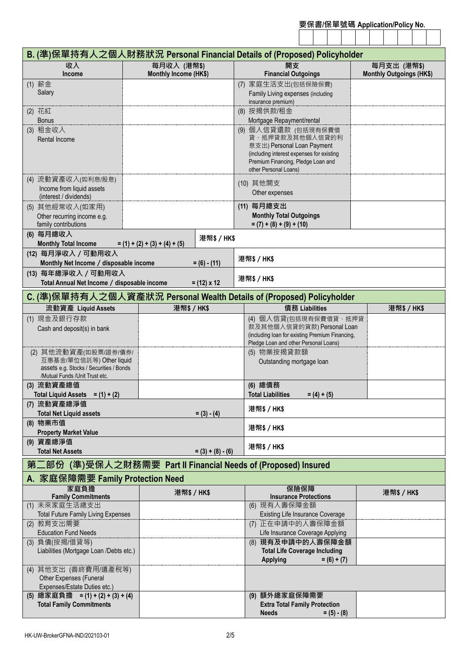| 要保書/保單號碼 Application/Policy No. |  |  |  |  |
|---------------------------------|--|--|--|--|
|                                 |  |  |  |  |

|                                                                           |                                              | B. (準)保單持有人之個人財務狀況 Personal Financial Details of (Proposed) Policyholder |                                 |
|---------------------------------------------------------------------------|----------------------------------------------|--------------------------------------------------------------------------|---------------------------------|
| 收入                                                                        | 每月收入 (港幣\$)                                  | 開支                                                                       | 每月支出 (港幣\$)                     |
| <b>Income</b>                                                             | Monthly Income (HK\$)                        | <b>Financial Outgoings</b>                                               | <b>Monthly Outgoings (HK\$)</b> |
| (1) 薪金<br>Salary                                                          |                                              | (7) 家庭生活支出(包括保險保費)<br>Family Living expenses (including                  |                                 |
| (2) 花紅                                                                    |                                              | insurance premium)<br>(8) 按揭供款/租金                                        |                                 |
| <b>Bonus</b>                                                              |                                              | Mortgage Repayment/rental                                                |                                 |
| (3) 租金收入                                                                  |                                              | (9) 個人信貸還款 (包括現有保費借                                                      |                                 |
| <b>Rental Income</b>                                                      |                                              | 貸、抵押貸款及其他個人信貸的利<br>息支出) Personal Loan Payment                            |                                 |
|                                                                           |                                              | (including interest expenses for existing                                |                                 |
|                                                                           |                                              | Premium Financing, Pledge Loan and<br>other Personal Loans)              |                                 |
| (4) 流動資產收入(如利息/股息)                                                        |                                              | (10) 其他開支                                                                |                                 |
| Income from liquid assets<br>(interest / dividends)                       |                                              | Other expenses                                                           |                                 |
| (5) 其他經常收入(如家用)                                                           |                                              | (11) 每月總支出                                                               |                                 |
| Other recurring income e.g.<br>family contributions                       |                                              | <b>Monthly Total Outgoings</b><br>$= (7) + (8) + (9) + (10)$             |                                 |
| (6) 每月總收入                                                                 |                                              |                                                                          |                                 |
| <b>Monthly Total Income</b>                                               | 港幣\$/HK\$<br>$= (1) + (2) + (3) + (4) + (5)$ |                                                                          |                                 |
| (12) 每月淨收入 / 可動用收入<br>Monthly Net Income / disposable income              | $= (6) - (11)$                               | 港幣\$ / HK\$                                                              |                                 |
| (13) 每年總淨收入 / 可動用收入                                                       |                                              | 港幣\$/HK\$                                                                |                                 |
| Total Annual Net Income / disposable income                               | $= (12) \times 12$                           |                                                                          |                                 |
|                                                                           |                                              | C. (準)保單持有人之個人資產狀況 Personal Wealth Details of (Proposed) Policyholder    |                                 |
| 流動資產 Liquid Assets                                                        | 港幣\$/HK\$                                    | 債務 Liabilities                                                           | 港幣\$/HK\$                       |
| (1) 現金及銀行存款<br>Cash and deposit(s) in bank                                |                                              | (4) 個人信貸(包括現有保費借貸、抵押貸<br>款及其他個人信貸的貨款) Personal Loan                      |                                 |
|                                                                           |                                              | (including loan for existing Premium Financing,                          |                                 |
| (2) 其他流動資產(如股票/證券/債券/                                                     |                                              | Pledge Loan and other Personal Loans)<br>(5) 物業按揭貸款額                     |                                 |
| 互惠基金/單位信託等) Other liquid                                                  |                                              | Outstanding mortgage loan                                                |                                 |
| assets e.g. Stocks / Securities / Bonds<br>/Mutual Funds /Unit Trust etc. |                                              |                                                                          |                                 |
| (3) 流動資產總值                                                                |                                              | (6) 總債務                                                                  |                                 |
| Total Liquid Assets = $(1) + (2)$                                         |                                              | <b>Total Liabilities</b><br>$= (4) + (5)$                                |                                 |
| (7) 流動資產總淨值<br><b>Total Net Liquid assets</b>                             | $= (3) - (4)$                                | 港幣\$/HK\$                                                                |                                 |
| (8) 物業市值                                                                  |                                              |                                                                          |                                 |
| <b>Property Market Value</b>                                              |                                              | 港幣\$/HK\$                                                                |                                 |
| (9) 資產總淨值<br><b>Total Net Assets</b>                                      | $= (3) + (8) - (6)$                          | 港幣\$/HK\$                                                                |                                 |
| 第二部份 (準)受保人之財務需要 Part II Financial Needs of (Proposed) Insured            |                                              |                                                                          |                                 |
| A. 家庭保障需要 Family Protection Need                                          |                                              |                                                                          |                                 |
| 家庭負擔<br><b>Family Commitments</b>                                         | 港幣\$/HK\$                                    | 保險保障<br><b>Insurance Protections</b>                                     | 港幣\$/HK\$                       |
| (1) 未來家庭生活總支出                                                             |                                              | (6) 現有人壽保障金額                                                             |                                 |
| <b>Total Future Family Living Expenses</b>                                |                                              | Existing Life Insurance Coverage<br>(7) 正在申請中的人壽保障金額                     |                                 |
| (2) 教育支出需要<br><b>Education Fund Needs</b>                                 |                                              | Life Insurance Coverage Applying                                         |                                 |
| (3) 負債(按揭/借貸等)                                                            |                                              | (8) 現有及申請中的人壽保障金額                                                        |                                 |
| Liabilities (Mortgage Loan /Debts etc.)                                   |                                              | <b>Total Life Coverage Including</b><br><b>Applying</b><br>$= (6) + (7)$ |                                 |
| (4) 其他支出 (善終費用/遺產稅等)                                                      |                                              |                                                                          |                                 |
| Other Expenses (Funeral<br>Expenses/Estate Duties etc.)                   |                                              |                                                                          |                                 |
| (5) 總家庭負擔 = (1) + (2) + (3) + (4)                                         |                                              | (9) 額外總家庭保障需要                                                            |                                 |
| <b>Total Family Commitments</b>                                           |                                              | <b>Extra Total Family Protection</b>                                     |                                 |
|                                                                           |                                              | <b>Needs</b><br>$= (5) - (8)$                                            |                                 |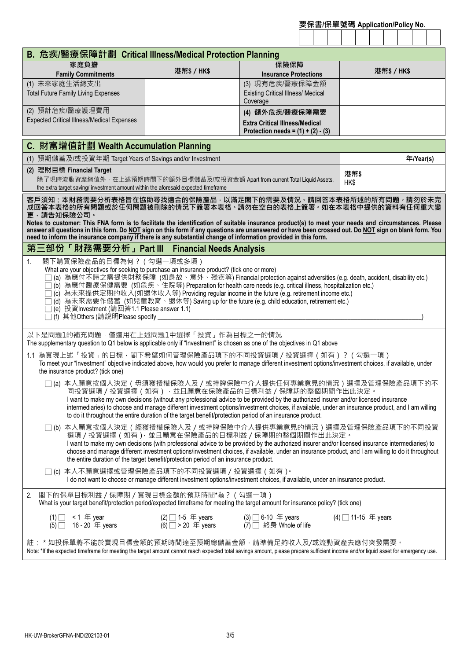| 要保書/保單號碼 Application/Policy No. |  |  |  |  |  |  |  |  |  |
|---------------------------------|--|--|--|--|--|--|--|--|--|
|                                 |  |  |  |  |  |  |  |  |  |

| B. 危疾/醫療保障計劃 Critical Illness/Medical Protection Planning                                                                                                                                                                                                                                                                                                                                                                                                                                                                                                                                                                                    |                                                                                                                                                                                     |                                           |                     |  |  |  |  |  |  |
|----------------------------------------------------------------------------------------------------------------------------------------------------------------------------------------------------------------------------------------------------------------------------------------------------------------------------------------------------------------------------------------------------------------------------------------------------------------------------------------------------------------------------------------------------------------------------------------------------------------------------------------------|-------------------------------------------------------------------------------------------------------------------------------------------------------------------------------------|-------------------------------------------|---------------------|--|--|--|--|--|--|
| 家庭負擔<br><b>Family Commitments</b>                                                                                                                                                                                                                                                                                                                                                                                                                                                                                                                                                                                                            | 港幣\$/HK\$                                                                                                                                                                           | 保險保障<br><b>Insurance Protections</b>      | 港幣\$/HK\$           |  |  |  |  |  |  |
| (1) 未來家庭生活總支出                                                                                                                                                                                                                                                                                                                                                                                                                                                                                                                                                                                                                                |                                                                                                                                                                                     | (3) 現有危疾/醫療保障金額                           |                     |  |  |  |  |  |  |
| <b>Total Future Family Living Expenses</b>                                                                                                                                                                                                                                                                                                                                                                                                                                                                                                                                                                                                   |                                                                                                                                                                                     | <b>Existing Critical Illness/ Medical</b> |                     |  |  |  |  |  |  |
|                                                                                                                                                                                                                                                                                                                                                                                                                                                                                                                                                                                                                                              |                                                                                                                                                                                     | Coverage                                  |                     |  |  |  |  |  |  |
| (2) 預計危疾/醫療護理費用<br><b>Expected Critical Illness/Medical Expenses</b>                                                                                                                                                                                                                                                                                                                                                                                                                                                                                                                                                                         |                                                                                                                                                                                     | (4) 額外危疾/醫療保障需要                           |                     |  |  |  |  |  |  |
|                                                                                                                                                                                                                                                                                                                                                                                                                                                                                                                                                                                                                                              |                                                                                                                                                                                     | <b>Extra Critical Illness/Medical</b>     |                     |  |  |  |  |  |  |
| Protection needs = $(1) + (2) - (3)$                                                                                                                                                                                                                                                                                                                                                                                                                                                                                                                                                                                                         |                                                                                                                                                                                     |                                           |                     |  |  |  |  |  |  |
| C. 財富增值計劃 Wealth Accumulation Planning                                                                                                                                                                                                                                                                                                                                                                                                                                                                                                                                                                                                       |                                                                                                                                                                                     |                                           |                     |  |  |  |  |  |  |
| (1) 預期儲蓄及/或投資年期 Target Years of Savings and/or Investment                                                                                                                                                                                                                                                                                                                                                                                                                                                                                                                                                                                    |                                                                                                                                                                                     |                                           | 年/Year(s)           |  |  |  |  |  |  |
| (2) 理財目標 Financial Target<br>除了現時流動資產總值外 · 在上述預期時間下的額外目標儲蓄及/或投資金額 Apart from current Total Liquid Assets,<br>the extra target saving/ investment amount within the aforesaid expected timeframe                                                                                                                                                                                                                                                                                                                                                                                                                                              |                                                                                                                                                                                     |                                           | 港幣\$<br>HK\$        |  |  |  |  |  |  |
| 客戶須知:本財務需要分析表格旨在協助尋找適合的保險產品,以滿足閣下的需要及情況。請回答本表格所述的所有問題。請勿於未完<br>成回答本表格的所有問題或於任何問題被刪除的情況下簽署本表格。請勿在空白的表格上簽署。如在本表格中提供的資料有任何重大變<br>更,請告知保險公司。                                                                                                                                                                                                                                                                                                                                                                                                                                                                                                     |                                                                                                                                                                                     |                                           |                     |  |  |  |  |  |  |
| Notes to customer: This FNA form is to facilitate the identification of suitable insurance product(s) to meet your needs and circumstances. Please<br>answer all questions in this form. Do NOT sign on this form if any questions are unanswered or have been crossed out. Do NOT sign on blank form. You<br>need to inform the insurance company if there is any substantial change of information provided in this form.                                                                                                                                                                                                                  |                                                                                                                                                                                     |                                           |                     |  |  |  |  |  |  |
| 第三部份「財務需要分析」Part Ⅲ Financial Needs Analysis                                                                                                                                                                                                                                                                                                                                                                                                                                                                                                                                                                                                  |                                                                                                                                                                                     |                                           |                     |  |  |  |  |  |  |
| 閣下購買保險產品的目標為何? (勾選一項或多項)<br>1.<br>What are your objectives for seeking to purchase an insurance product? (tick one or more)<br>(a) 為應付不時之需提供財務保障 (如身故、意外、殘疾等) Financial protection against adversities (e.g. death, accident, disability etc.)<br>(b) 為應付醫療保健需要 (如危疾、住院等) Preparation for health care needs (e.g. critical illness, hospitalization etc.)<br>(c) 為未來提供定期的收入(如退休收入等) Providing regular income in the future (e.g. retirement income etc.)<br>̄ (d)  為未來需要作儲蓄  (如兒童教育 `退休等) Saving up for the future (e.g. child education, retirement etc.)<br>(e) 投資Investment (請回答1.1 Please answer 1.1)<br>(f) 其他Others (請說明Please specify |                                                                                                                                                                                     |                                           |                     |  |  |  |  |  |  |
| 以下是問題1的補充問題,僅適用在上述問題1中選擇「投資」作為目標之一的情況<br>The supplementary question to Q1 below is applicable only if "Investment" is chosen as one of the objectives in Q1 above                                                                                                                                                                                                                                                                                                                                                                                                                                                                            |                                                                                                                                                                                     |                                           |                     |  |  |  |  |  |  |
| 1.1 為實現上述「投資」的目標 · 閣下希望如何管理保險產品項下的不同投資選項/投資選擇(如有)?(勾選一項)<br>To meet your "Investment" objective indicated above, how would you prefer to manage different investment options/investment choices, if available, under<br>the insurance product? (tick one)                                                                                                                                                                                                                                                                                                                                                                                    |                                                                                                                                                                                     |                                           |                     |  |  |  |  |  |  |
| (a) 本人願意按個人決定(毋須獲授權保險人及/或持牌保險中介人提供任何專業意見的情況)選擇及管理保險產品項下的不<br>同投資選項 / 投資選擇 ( 如有 ) · 並且願意在保險產品的目標利益 / 保障期的整個期間作出此決定 ·<br>I want to make my own decisions (without any professional advice to be provided by the authorized insurer and/or licensed insurance<br>intermediaries) to choose and manage different investment options/investment choices, if available, under an insurance product, and I am willing<br>to do it throughout the entire duration of the target benefit/protection period of an insurance product.                                                                                                                   |                                                                                                                                                                                     |                                           |                     |  |  |  |  |  |  |
| □ (b) 本人願意按個人決定(經獲授權保險人及/或持牌保險中介人提供專業意見的情況)選擇及管理保險產品項下的不同投資<br>選項 / 投資選擇 ( 如有 ) · 並且願意在保險產品的目標利益 / 保障期的整個期間作出此決定 ·<br>I want to make my own decisions (with professional advice to be provided by the authorized insurer and/or licensed insurance intermediaries) to<br>choose and manage different investment options/investment choices, if available, under an insurance product, and I am willing to do it throughout<br>the entire duration of the target benefit/protection period of an insurance product.                                                                                                                           |                                                                                                                                                                                     |                                           |                     |  |  |  |  |  |  |
|                                                                                                                                                                                                                                                                                                                                                                                                                                                                                                                                                                                                                                              | □ (c) 本人不願意選擇或管理保險產品項下的不同投資選項/投資選擇(如有) <sup>。</sup><br>I do not want to choose or manage different investment options/investment choices, if available, under an insurance product. |                                           |                     |  |  |  |  |  |  |
| 閣下的保單目標利益 / 保障期 / 實現目標金額的預期時間*為 ? ( 勾選一項 )<br>2.<br>What is your target benefit/protection period/expected timeframe for meeting the target amount for insurance policy? (tick one)                                                                                                                                                                                                                                                                                                                                                                                                                                                          |                                                                                                                                                                                     |                                           |                     |  |  |  |  |  |  |
| $(1)$ < 1 $\pm$ year<br><1  年 year<br>16 - 20  年 years<br>(5)                                                                                                                                                                                                                                                                                                                                                                                                                                                                                                                                                                                | (2) $\Box$ 1-5 年 years (3) $\Box$ 6-10 年 years<br>(6) $\Box$ > 20 年 years (7) $\Box$ 終身 Whole of life                                                                               |                                           | $(4)$ 11-15 年 years |  |  |  |  |  |  |
| 註: * 如投保單將不能於實現目標金額的預期時間達至預期總儲蓄金額 · 請準備足夠收入及/或流動資產去應付突發需要 ·<br>Note: *If the expected timeframe for meeting the target amount cannot reach expected total savings amount, please prepare sufficient income and/or liquid asset for emergency use.                                                                                                                                                                                                                                                                                                                                                                                            |                                                                                                                                                                                     |                                           |                     |  |  |  |  |  |  |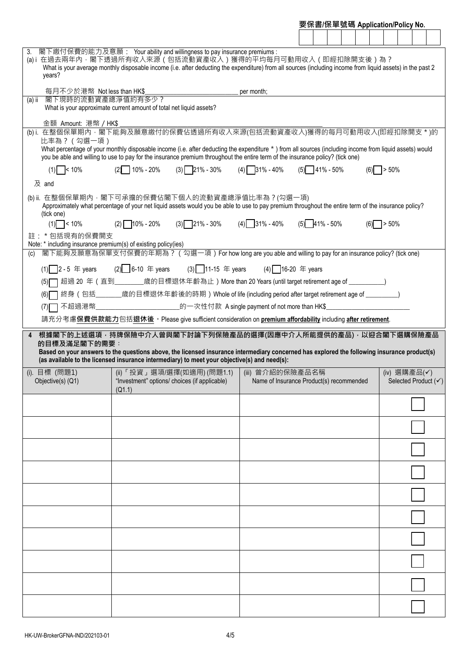| 要保書/保單號碼 Application/Policy No. |  |  |  |  |  |
|---------------------------------|--|--|--|--|--|
|                                 |  |  |  |  |  |

| 3.<br>(a) i 在過去兩年內 · 閣下透過所有收入來源(包括流動資產收入)獲得的平均每月可動用收入(即經扣除開支後)為?<br>What is your average monthly disposable income (i.e. after deducting the expenditure) from all sources (including income from liquid assets) in the past 2<br>years?                                                                                  | 閣下繳付保費的能力及意願: Your ability and willingness to pay insurance premiums:                                     |                                                                            |                                                                                                                           |  |     |              |              |                      |
|---------------------------------------------------------------------------------------------------------------------------------------------------------------------------------------------------------------------------------------------------------------------------------------------------------------------------|-----------------------------------------------------------------------------------------------------------|----------------------------------------------------------------------------|---------------------------------------------------------------------------------------------------------------------------|--|-----|--------------|--------------|----------------------|
| 每月不少於港幣 Not less than HK\$                                                                                                                                                                                                                                                                                                |                                                                                                           |                                                                            | per month;                                                                                                                |  |     |              |              |                      |
| 閣下現時的流動資產總淨值約有多少?<br>$(a)$ ii<br>What is your approximate current amount of total net liquid assets?                                                                                                                                                                                                                      |                                                                                                           |                                                                            |                                                                                                                           |  |     |              |              |                      |
| 金額 Amount: 港幣 / HK\$                                                                                                                                                                                                                                                                                                      |                                                                                                           |                                                                            |                                                                                                                           |  |     |              |              |                      |
| (b)i. 在整個保單期內, 閣下能夠及願意繳付的保費佔透過所有收入來源(包括流動資產收入)獲得的每月可動用收入(即經扣除開支 * )的<br>比率為? (勾選一項)                                                                                                                                                                                                                                       |                                                                                                           |                                                                            |                                                                                                                           |  |     |              |              |                      |
| What percentage of your monthly disposable income (i.e. after deducting the expenditure *) from all sources (including income from liquid assets) would<br>you be able and willing to use to pay for the insurance premium throughout the entire term of the insurance policy? (tick one)                                 |                                                                                                           |                                                                            |                                                                                                                           |  |     |              |              |                      |
| $(1)$ < 10%<br>及 and                                                                                                                                                                                                                                                                                                      | $(2)$ 10% - 20%                                                                                           |                                                                            | $(3)$ 21% - 30% $(4)$ 31% - 40% $(5)$ 41% - 50%                                                                           |  |     | $(6)$ > 50%  |              |                      |
| (b) ii. 在整個保單期內 · 閣下可承擔的保費佔閣下個人的流動資產總淨值比率為 ? (勾選一項)<br>Approximately what percentage of your net liquid assets would you be able to use to pay premium throughout the entire term of the insurance policy?                                                                                                                |                                                                                                           |                                                                            |                                                                                                                           |  |     |              |              |                      |
| (tick one)<br>$(1)$ < 10%                                                                                                                                                                                                                                                                                                 | $(2)$ 10% - 20%                                                                                           | $(3)$ 21% - 30%                                                            | $(4)$ 31% - 40% $(5)$ 41% - 50%                                                                                           |  | (6) | $\Box$ > 50% |              |                      |
| 註: *包括現有的保費開支                                                                                                                                                                                                                                                                                                             |                                                                                                           |                                                                            |                                                                                                                           |  |     |              |              |                      |
| Note: * including insurance premium(s) of existing policy(ies)                                                                                                                                                                                                                                                            |                                                                                                           |                                                                            |                                                                                                                           |  |     |              |              |                      |
| 閣下能夠及願意為保單支付保費的年期為? (勾選一項) For how long are you able and willing to pay for an insurance policy? (tick one)<br>(c)                                                                                                                                                                                                        |                                                                                                           |                                                                            |                                                                                                                           |  |     |              |              |                      |
| $(1)$ 2 - 5 $\pm$ years                                                                                                                                                                                                                                                                                                   |                                                                                                           | (2) 6-10 年 years (3) 11-15 年 years (4) 16-20 年 years                       |                                                                                                                           |  |     |              |              |                      |
| (5)                                                                                                                                                                                                                                                                                                                       |                                                                                                           |                                                                            |                                                                                                                           |  |     |              |              |                      |
| (6)                                                                                                                                                                                                                                                                                                                       | 終身(包括____________歳的目標退休年齡後的時期)Whole of life (including period after target retirement age of ___________) |                                                                            |                                                                                                                           |  |     |              |              |                      |
| (7)                                                                                                                                                                                                                                                                                                                       | 不超過港幣___________________________的一次性付款 A single payment of not more than HK\$_______________________      |                                                                            |                                                                                                                           |  |     |              |              |                      |
|                                                                                                                                                                                                                                                                                                                           |                                                                                                           |                                                                            |                                                                                                                           |  |     |              |              |                      |
|                                                                                                                                                                                                                                                                                                                           |                                                                                                           |                                                                            | 請充分考慮保費供款能力包括退休後。Please give sufficient consideration on <u>premium affordability</u> including <u>after retirement</u> . |  |     |              |              |                      |
| 根據閣下的上述選項,持牌保險中介人曾與閣下討論下列保險產品的選擇(因應中介人所能提供的產品),以迎合閣下選購保險產品<br>的目標及滿足閣下的需要:<br>Based on your answers to the questions above, the licensed insurance intermediary concerned has explored the following insurance product(s)<br>(as available to the licensed insurance intermediary) to meet your objective(s) and need(s): |                                                                                                           |                                                                            |                                                                                                                           |  |     |              |              |                      |
| (i). 目標 (問題1)<br>Objective(s) (Q1)                                                                                                                                                                                                                                                                                        | (Q1.1)                                                                                                    | (ii)「投資」選項/選擇(如適用)(問題1.1)<br>"Investment" options/ choices (if applicable) | (iii) 曾介紹的保險產品名稱<br>Name of Insurance Product(s) recommended                                                              |  |     |              | (iv) 選購產品(√) |                      |
|                                                                                                                                                                                                                                                                                                                           |                                                                                                           |                                                                            |                                                                                                                           |  |     |              |              |                      |
|                                                                                                                                                                                                                                                                                                                           |                                                                                                           |                                                                            |                                                                                                                           |  |     |              |              |                      |
|                                                                                                                                                                                                                                                                                                                           |                                                                                                           |                                                                            |                                                                                                                           |  |     |              |              |                      |
|                                                                                                                                                                                                                                                                                                                           |                                                                                                           |                                                                            |                                                                                                                           |  |     |              |              | Selected Product (√) |
|                                                                                                                                                                                                                                                                                                                           |                                                                                                           |                                                                            |                                                                                                                           |  |     |              |              |                      |
|                                                                                                                                                                                                                                                                                                                           |                                                                                                           |                                                                            |                                                                                                                           |  |     |              |              |                      |
|                                                                                                                                                                                                                                                                                                                           |                                                                                                           |                                                                            |                                                                                                                           |  |     |              |              |                      |
|                                                                                                                                                                                                                                                                                                                           |                                                                                                           |                                                                            |                                                                                                                           |  |     |              |              |                      |
|                                                                                                                                                                                                                                                                                                                           |                                                                                                           |                                                                            |                                                                                                                           |  |     |              |              |                      |